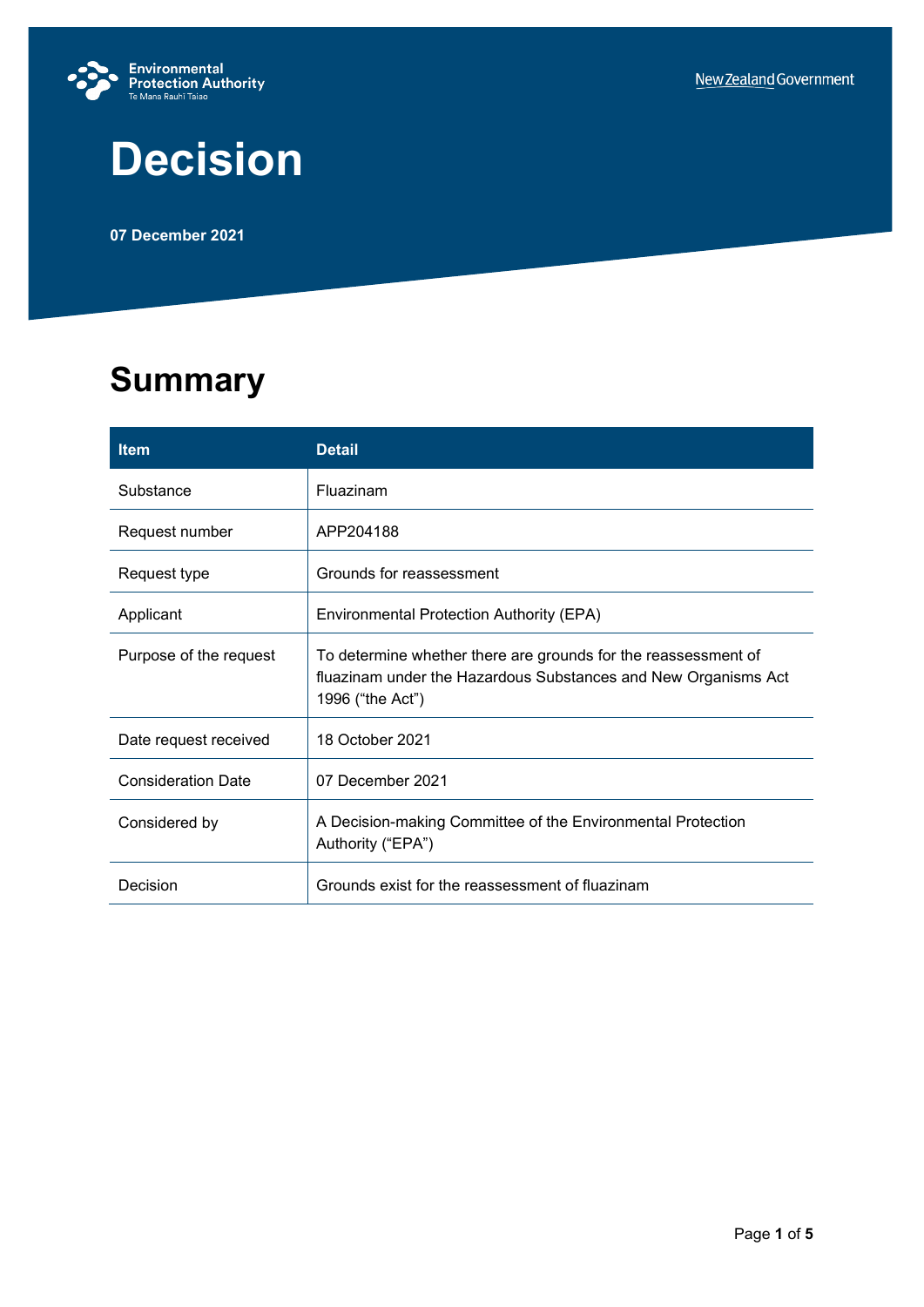

# **Decision**

**07 December 2021**

## **Summary**

| <b>Item</b>               | <b>Detail</b>                                                                                                                                        |  |
|---------------------------|------------------------------------------------------------------------------------------------------------------------------------------------------|--|
| Substance                 | Fluazinam                                                                                                                                            |  |
| Request number            | APP204188                                                                                                                                            |  |
| Request type              | Grounds for reassessment                                                                                                                             |  |
| Applicant                 | Environmental Protection Authority (EPA)                                                                                                             |  |
| Purpose of the request    | To determine whether there are grounds for the reassessment of<br>fluazinam under the Hazardous Substances and New Organisms Act<br>1996 ("the Act") |  |
| Date request received     | 18 October 2021                                                                                                                                      |  |
| <b>Consideration Date</b> | 07 December 2021                                                                                                                                     |  |
| Considered by             | A Decision-making Committee of the Environmental Protection<br>Authority ("EPA")                                                                     |  |
| Decision                  | Grounds exist for the reassessment of fluazinam                                                                                                      |  |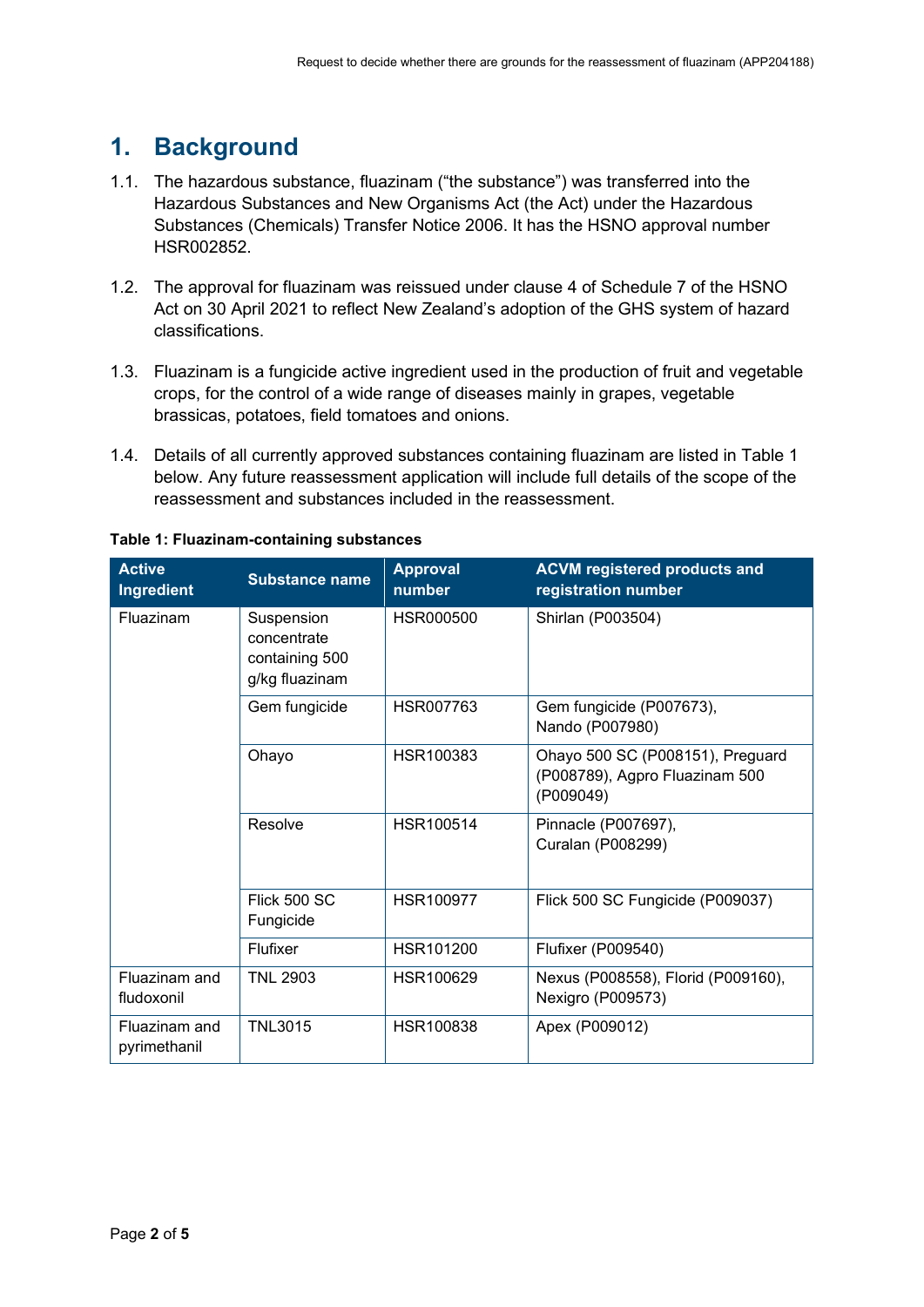## **1. Background**

- 1.1. The hazardous substance, fluazinam ("the substance") was transferred into the Hazardous Substances and New Organisms Act (the Act) under the Hazardous Substances (Chemicals) Transfer Notice 2006. It has the HSNO approval number HSR002852.
- 1.2. The approval for fluazinam was reissued under clause 4 of Schedule 7 of the HSNO Act on 30 April 2021 to reflect New Zealand's adoption of the GHS system of hazard classifications.
- 1.3. Fluazinam is a fungicide active ingredient used in the production of fruit and vegetable crops, for the control of a wide range of diseases mainly in grapes, vegetable brassicas, potatoes, field tomatoes and onions.
- 1.4. Details of all currently approved substances containing fluazinam are listed in Table 1 below. Any future reassessment application will include full details of the scope of the reassessment and substances included in the reassessment.

| <b>Active</b><br>Ingredient   | <b>Substance name</b>                                         | <b>Approval</b><br>number | <b>ACVM registered products and</b><br>registration number                      |
|-------------------------------|---------------------------------------------------------------|---------------------------|---------------------------------------------------------------------------------|
| Fluazinam                     | Suspension<br>concentrate<br>containing 500<br>g/kg fluazinam | HSR000500                 | Shirlan (P003504)                                                               |
|                               | Gem fungicide                                                 | HSR007763                 | Gem fungicide (P007673),<br>Nando (P007980)                                     |
|                               | Ohayo                                                         | HSR100383                 | Ohayo 500 SC (P008151), Preguard<br>(P008789), Agpro Fluazinam 500<br>(P009049) |
|                               | Resolve                                                       | HSR100514                 | Pinnacle (P007697),<br>Curalan (P008299)                                        |
|                               | Flick 500 SC<br>Fungicide                                     | <b>HSR100977</b>          | Flick 500 SC Fungicide (P009037)                                                |
|                               | Flufixer                                                      | HSR101200                 | <b>Flufixer (P009540)</b>                                                       |
| Fluazinam and<br>fludoxonil   | <b>TNL 2903</b>                                               | HSR100629                 | Nexus (P008558), Florid (P009160),<br>Nexigro (P009573)                         |
| Fluazinam and<br>pyrimethanil | <b>TNL3015</b>                                                | HSR100838                 | Apex (P009012)                                                                  |

#### **Table 1: Fluazinam-containing substances**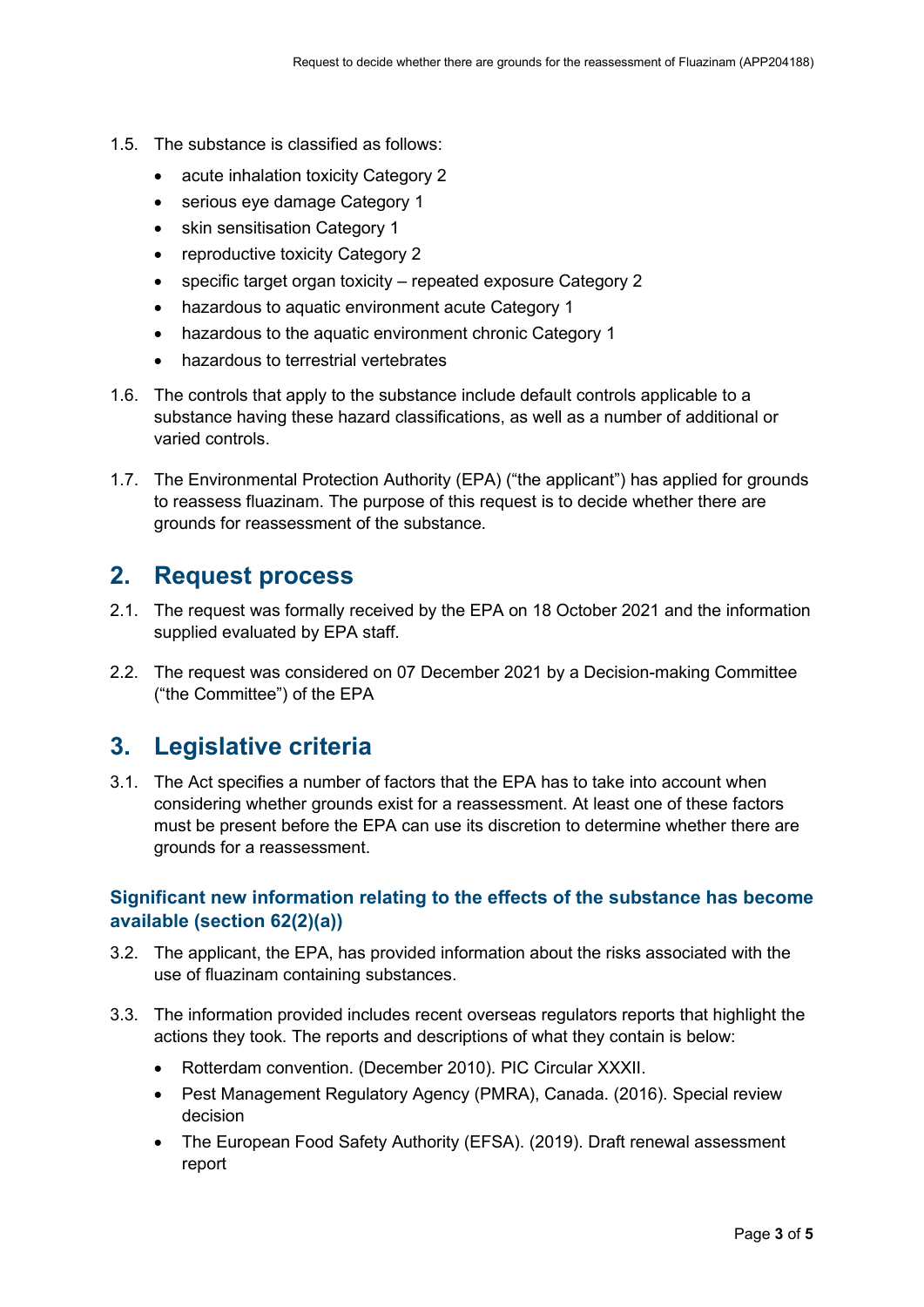- 1.5. The substance is classified as follows:
	- acute inhalation toxicity Category 2
	- serious eve damage Category 1
	- skin sensitisation Category 1
	- reproductive toxicity Category 2
	- specific target organ toxicity repeated exposure Category 2
	- hazardous to aquatic environment acute Category 1
	- hazardous to the aquatic environment chronic Category 1
	- hazardous to terrestrial vertebrates
- 1.6. The controls that apply to the substance include default controls applicable to a substance having these hazard classifications, as well as a number of additional or varied controls.
- 1.7. The Environmental Protection Authority (EPA) ("the applicant") has applied for grounds to reassess fluazinam. The purpose of this request is to decide whether there are grounds for reassessment of the substance.

## **2. Request process**

- 2.1. The request was formally received by the EPA on 18 October 2021 and the information supplied evaluated by EPA staff.
- 2.2. The request was considered on 07 December 2021 by a Decision-making Committee ("the Committee") of the EPA

### **3. Legislative criteria**

3.1. The Act specifies a number of factors that the EPA has to take into account when considering whether grounds exist for a reassessment. At least one of these factors must be present before the EPA can use its discretion to determine whether there are grounds for a reassessment.

#### **Significant new information relating to the effects of the substance has become available (section 62(2)(a))**

- 3.2. The applicant, the EPA, has provided information about the risks associated with the use of fluazinam containing substances.
- 3.3. The information provided includes recent overseas regulators reports that highlight the actions they took. The reports and descriptions of what they contain is below:
	- Rotterdam convention. (December 2010). PIC Circular XXXII.
	- Pest Management Regulatory Agency (PMRA), Canada. (2016). Special review decision
	- The European Food Safety Authority (EFSA). (2019). Draft renewal assessment report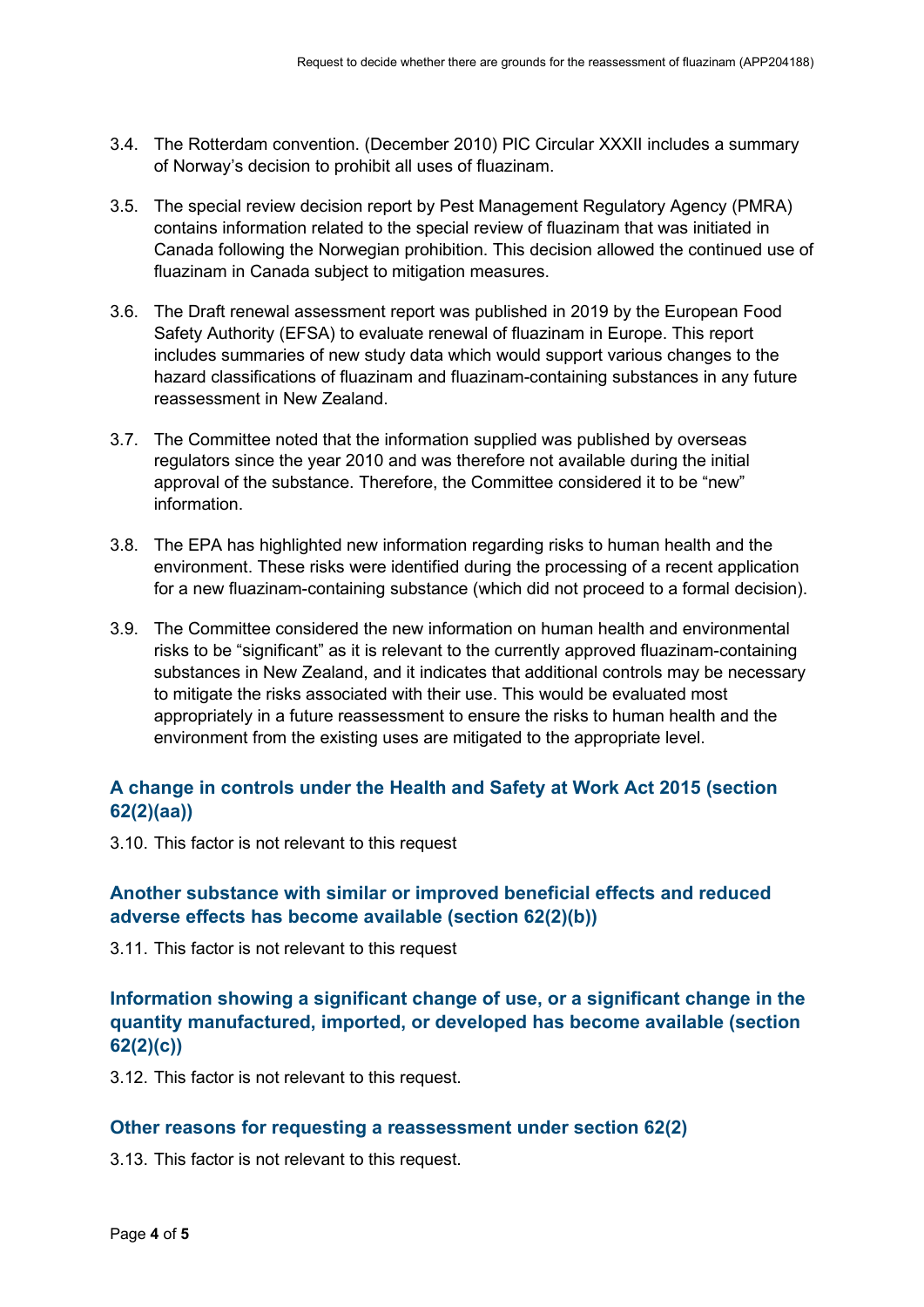- 3.4. The Rotterdam convention. (December 2010) PIC Circular XXXII includes a summary of Norway's decision to prohibit all uses of fluazinam.
- 3.5. The special review decision report by Pest Management Regulatory Agency (PMRA) contains information related to the special review of fluazinam that was initiated in Canada following the Norwegian prohibition. This decision allowed the continued use of fluazinam in Canada subject to mitigation measures.
- 3.6. The Draft renewal assessment report was published in 2019 by the European Food Safety Authority (EFSA) to evaluate renewal of fluazinam in Europe. This report includes summaries of new study data which would support various changes to the hazard classifications of fluazinam and fluazinam-containing substances in any future reassessment in New Zealand.
- 3.7. The Committee noted that the information supplied was published by overseas regulators since the year 2010 and was therefore not available during the initial approval of the substance. Therefore, the Committee considered it to be "new" information.
- 3.8. The EPA has highlighted new information regarding risks to human health and the environment. These risks were identified during the processing of a recent application for a new fluazinam-containing substance (which did not proceed to a formal decision).
- 3.9. The Committee considered the new information on human health and environmental risks to be "significant" as it is relevant to the currently approved fluazinam-containing substances in New Zealand, and it indicates that additional controls may be necessary to mitigate the risks associated with their use. This would be evaluated most appropriately in a future reassessment to ensure the risks to human health and the environment from the existing uses are mitigated to the appropriate level.

#### **A change in controls under the Health and Safety at Work Act 2015 (section 62(2)(aa))**

3.10. This factor is not relevant to this request

#### **Another substance with similar or improved beneficial effects and reduced adverse effects has become available (section 62(2)(b))**

3.11. This factor is not relevant to this request

#### **Information showing a significant change of use, or a significant change in the quantity manufactured, imported, or developed has become available (section 62(2)(c))**

3.12. This factor is not relevant to this request.

#### **Other reasons for requesting a reassessment under section 62(2)**

3.13. This factor is not relevant to this request.